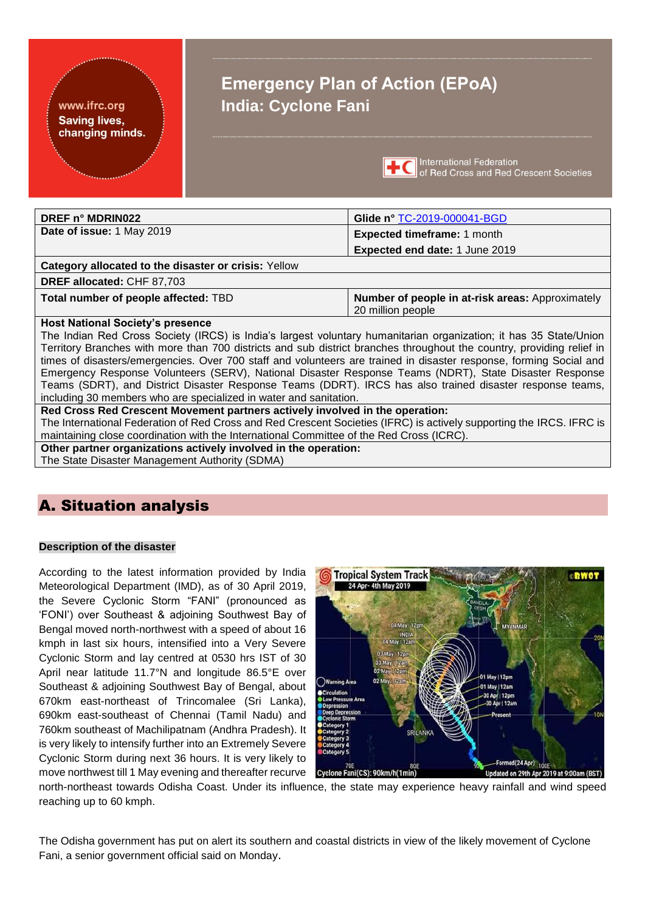#### www.ifrc.org **Saving lives,** changing minds.

# **Emergency Plan of Action (EPoA) India: Cyclone Fani**



International Federation **TEC** International Federation<br>of Red Cross and Red Crescent Societies

| DREF n° MDRIN022                                                                                                      | Glide n° TC-2019-000041-BGD                                           |  |  |  |
|-----------------------------------------------------------------------------------------------------------------------|-----------------------------------------------------------------------|--|--|--|
| Date of issue: 1 May 2019                                                                                             | <b>Expected timeframe: 1 month</b>                                    |  |  |  |
|                                                                                                                       | Expected end date: 1 June 2019                                        |  |  |  |
| Category allocated to the disaster or crisis: Yellow                                                                  |                                                                       |  |  |  |
| <b>DREF allocated: CHF 87,703</b>                                                                                     |                                                                       |  |  |  |
| Total number of people affected: TBD                                                                                  | Number of people in at-risk areas: Approximately<br>20 million people |  |  |  |
| <b>Host National Society's presence</b>                                                                               |                                                                       |  |  |  |
| The Indian Red Cross Society (IRCS) is India's largest voluntary humanitarian organization; it has 35 State/Union     |                                                                       |  |  |  |
| Territory Branches with more than 700 districts and sub district branches throughout the country, providing relief in |                                                                       |  |  |  |
| times of disasters/emergencies. Over 700 staff and volunteers are trained in disaster response, forming Social and    |                                                                       |  |  |  |
| Emergency Response Volunteers (SERV), National Disaster Response Teams (NDRT), State Disaster Response                |                                                                       |  |  |  |
| Teams (SDRT), and District Disaster Response Teams (DDRT). IRCS has also trained disaster response teams,             |                                                                       |  |  |  |
| including 30 members who are specialized in water and sanitation.                                                     |                                                                       |  |  |  |
| Red Cross Red Crescent Movement partners actively involved in the operation:                                          |                                                                       |  |  |  |
| The International Federation of Red Cross and Red Crescent Societies (IFRC) is actively supporting the IRCS. IFRC is  |                                                                       |  |  |  |
| maintaining close coordination with the International Committee of the Red Cross (ICRC).                              |                                                                       |  |  |  |
| Other partner organizations actively involved in the operation:                                                       |                                                                       |  |  |  |
| The State Disaster Management Authority (SDMA)                                                                        |                                                                       |  |  |  |

## A. Situation analysis

#### **Description of the disaster**

According to the latest information provided by India Meteorological Department (IMD), as of 30 April 2019, the Severe Cyclonic Storm "FANI" (pronounced as 'FONI') over Southeast & adjoining Southwest Bay of Bengal moved north-northwest with a speed of about 16 kmph in last six hours, intensified into a Very Severe Cyclonic Storm and lay centred at 0530 hrs IST of 30 April near latitude 11.7°N and longitude 86.5°E over Southeast & adjoining Southwest Bay of Bengal, about 670km east-northeast of Trincomalee (Sri Lanka), 690km east-southeast of Chennai (Tamil Nadu) and 760km southeast of Machilipatnam (Andhra Pradesh). It is very likely to intensify further into an Extremely Severe Cyclonic Storm during next 36 hours. It is very likely to move northwest till 1 May evening and thereafter recurve



north-northeast towards Odisha Coast. Under its influence, the state may experience heavy rainfall and wind speed reaching up to 60 kmph.

The Odisha government has put on alert its southern and coastal districts in view of the likely movement of Cyclone Fani, a senior government official said on Monday.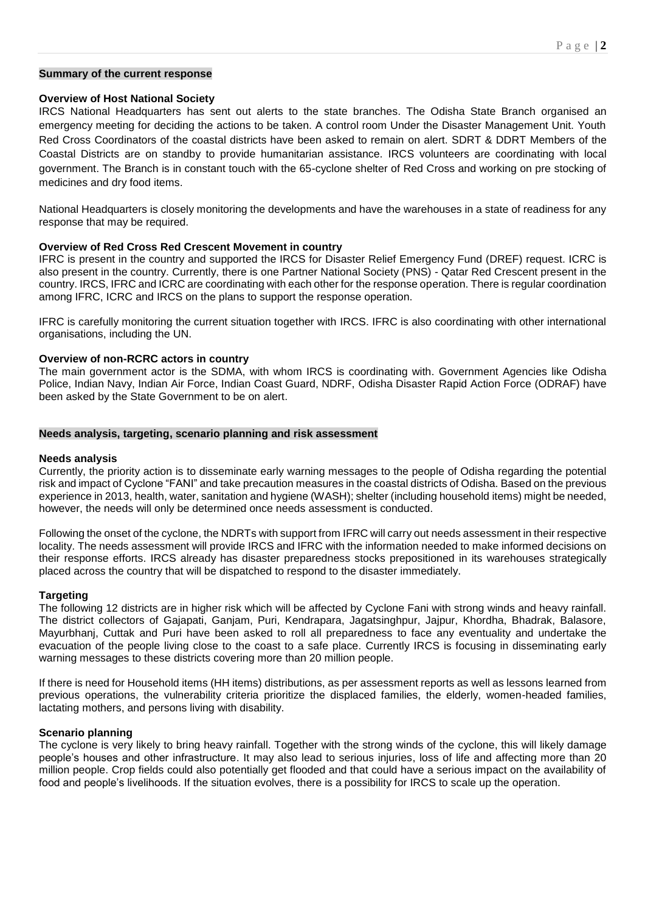#### **Summary of the current response**

#### **Overview of Host National Society**

IRCS National Headquarters has sent out alerts to the state branches. The Odisha State Branch organised an emergency meeting for deciding the actions to be taken. A control room Under the Disaster Management Unit. Youth Red Cross Coordinators of the coastal districts have been asked to remain on alert. SDRT & DDRT Members of the Coastal Districts are on standby to provide humanitarian assistance. IRCS volunteers are coordinating with local government. The Branch is in constant touch with the 65-cyclone shelter of Red Cross and working on pre stocking of medicines and dry food items.

National Headquarters is closely monitoring the developments and have the warehouses in a state of readiness for any response that may be required.

#### **Overview of Red Cross Red Crescent Movement in country**

IFRC is present in the country and supported the IRCS for Disaster Relief Emergency Fund (DREF) request. ICRC is also present in the country. Currently, there is one Partner National Society (PNS) - Qatar Red Crescent present in the country. IRCS, IFRC and ICRC are coordinating with each other for the response operation. There is regular coordination among IFRC, ICRC and IRCS on the plans to support the response operation.

IFRC is carefully monitoring the current situation together with IRCS. IFRC is also coordinating with other international organisations, including the UN.

#### **Overview of non-RCRC actors in country**

The main government actor is the SDMA, with whom IRCS is coordinating with. Government Agencies like Odisha Police, Indian Navy, Indian Air Force, Indian Coast Guard, NDRF, Odisha Disaster Rapid Action Force (ODRAF) have been asked by the State Government to be on alert.

#### **Needs analysis, targeting, scenario planning and risk assessment**

#### **Needs analysis**

Currently, the priority action is to disseminate early warning messages to the people of Odisha regarding the potential risk and impact of Cyclone "FANI" and take precaution measures in the coastal districts of Odisha. Based on the previous experience in 2013, health, water, sanitation and hygiene (WASH); shelter (including household items) might be needed, however, the needs will only be determined once needs assessment is conducted.

Following the onset of the cyclone, the NDRTs with support from IFRC will carry out needs assessment in their respective locality. The needs assessment will provide IRCS and IFRC with the information needed to make informed decisions on their response efforts. IRCS already has disaster preparedness stocks prepositioned in its warehouses strategically placed across the country that will be dispatched to respond to the disaster immediately.

#### **Targeting**

The following 12 districts are in higher risk which will be affected by Cyclone Fani with strong winds and heavy rainfall. The district collectors of Gajapati, Ganjam, Puri, Kendrapara, Jagatsinghpur, Jajpur, Khordha, Bhadrak, Balasore, Mayurbhanj, Cuttak and Puri have been asked to roll all preparedness to face any eventuality and undertake the evacuation of the people living close to the coast to a safe place. Currently IRCS is focusing in disseminating early warning messages to these districts covering more than 20 million people.

If there is need for Household items (HH items) distributions, as per assessment reports as well as lessons learned from previous operations, the vulnerability criteria prioritize the displaced families, the elderly, women-headed families, lactating mothers, and persons living with disability.

#### **Scenario planning**

The cyclone is very likely to bring heavy rainfall. Together with the strong winds of the cyclone, this will likely damage people's houses and other infrastructure. It may also lead to serious injuries, loss of life and affecting more than 20 million people. Crop fields could also potentially get flooded and that could have a serious impact on the availability of food and people's livelihoods. If the situation evolves, there is a possibility for IRCS to scale up the operation.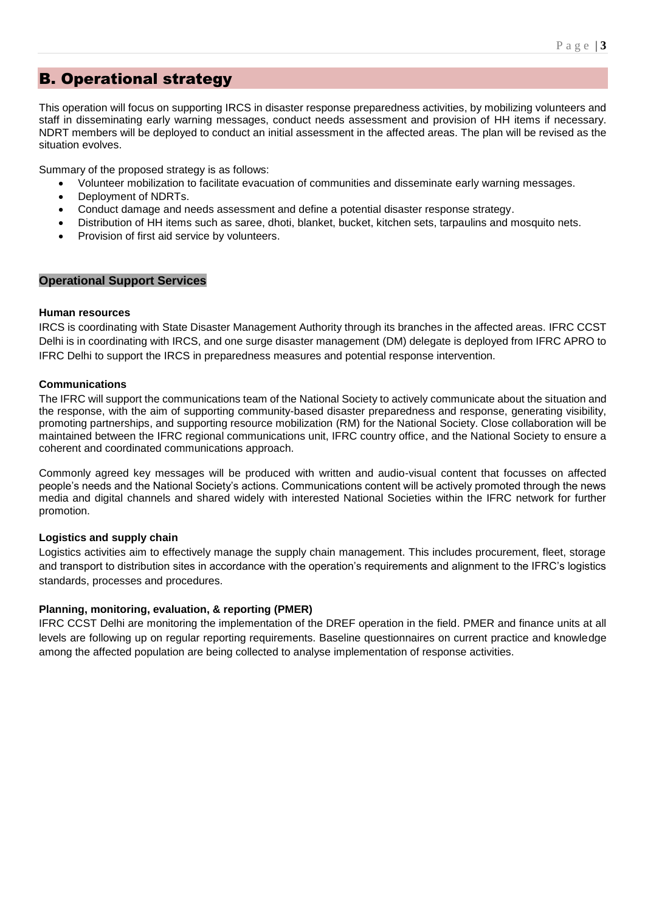## B. Operational strategy

This operation will focus on supporting IRCS in disaster response preparedness activities, by mobilizing volunteers and staff in disseminating early warning messages, conduct needs assessment and provision of HH items if necessary. NDRT members will be deployed to conduct an initial assessment in the affected areas. The plan will be revised as the situation evolves.

Summary of the proposed strategy is as follows:

- Volunteer mobilization to facilitate evacuation of communities and disseminate early warning messages.
- Deployment of NDRTs.
- Conduct damage and needs assessment and define a potential disaster response strategy.
- Distribution of HH items such as saree, dhoti, blanket, bucket, kitchen sets, tarpaulins and mosquito nets.
- Provision of first aid service by volunteers.

#### **Operational Support Services**

#### **Human resources**

IRCS is coordinating with State Disaster Management Authority through its branches in the affected areas. IFRC CCST Delhi is in coordinating with IRCS, and one surge disaster management (DM) delegate is deployed from IFRC APRO to IFRC Delhi to support the IRCS in preparedness measures and potential response intervention.

#### **Communications**

The IFRC will support the communications team of the National Society to actively communicate about the situation and the response, with the aim of supporting community-based disaster preparedness and response, generating visibility, promoting partnerships, and supporting resource mobilization (RM) for the National Society. Close collaboration will be maintained between the IFRC regional communications unit, IFRC country office, and the National Society to ensure a coherent and coordinated communications approach.

Commonly agreed key messages will be produced with written and audio-visual content that focusses on affected people's needs and the National Society's actions. Communications content will be actively promoted through the news media and digital channels and shared widely with interested National Societies within the IFRC network for further promotion.

#### **Logistics and supply chain**

Logistics activities aim to effectively manage the supply chain management. This includes procurement, fleet, storage and transport to distribution sites in accordance with the operation's requirements and alignment to the IFRC's logistics standards, processes and procedures.

#### **Planning, monitoring, evaluation, & reporting (PMER)**

IFRC CCST Delhi are monitoring the implementation of the DREF operation in the field. PMER and finance units at all levels are following up on regular reporting requirements. Baseline questionnaires on current practice and knowledge among the affected population are being collected to analyse implementation of response activities.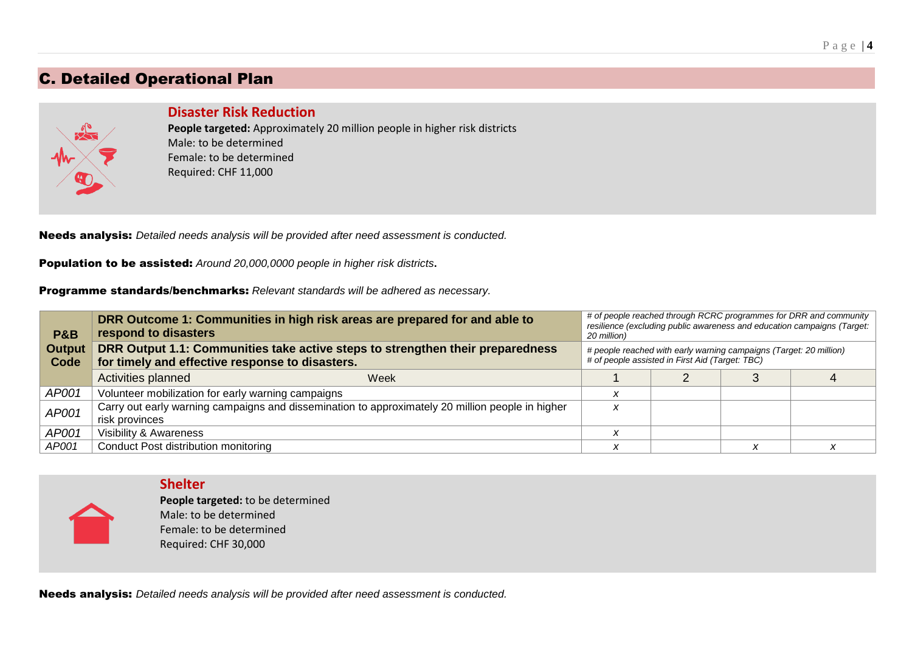## C. Detailed Operational Plan



#### **Disaster Risk Reduction**

**People targeted:** Approximately 20 million people in higher risk districts Male: to be determined Female: to be determined Required: CHF 11,000

Needs analysis: *Detailed needs analysis will be provided after need assessment is conducted.*

Population to be assisted: *Around 20,000,0000 people in higher risk districts***.**

Programme standards/benchmarks: *Relevant standards will be adhered as necessary.*

| P&B                   | DRR Outcome 1: Communities in high risk areas are prepared for and able to<br>respond to disasters                                | # of people reached through RCRC programmes for DRR and community<br>resilience (excluding public awareness and education campaigns (Target:<br>20 million) |  |  |  |
|-----------------------|-----------------------------------------------------------------------------------------------------------------------------------|-------------------------------------------------------------------------------------------------------------------------------------------------------------|--|--|--|
| <b>Output</b><br>Code | DRR Output 1.1: Communities take active steps to strengthen their preparedness<br>for timely and effective response to disasters. | # people reached with early warning campaigns (Target: 20 million)<br># of people assisted in First Aid (Target: TBC)                                       |  |  |  |
|                       | Activities planned<br>Week                                                                                                        |                                                                                                                                                             |  |  |  |
| AP001                 | Volunteer mobilization for early warning campaigns                                                                                |                                                                                                                                                             |  |  |  |
| AP001                 | Carry out early warning campaigns and dissemination to approximately 20 million people in higher<br>risk provinces                | X                                                                                                                                                           |  |  |  |
| AP001                 | Visibility & Awareness                                                                                                            |                                                                                                                                                             |  |  |  |
| AP001                 | Conduct Post distribution monitoring                                                                                              |                                                                                                                                                             |  |  |  |

**Shelter**

**People targeted:** to be determined Male: to be determined Female: to be determined Required: CHF 30,000

Needs analysis: *Detailed needs analysis will be provided after need assessment is conducted.*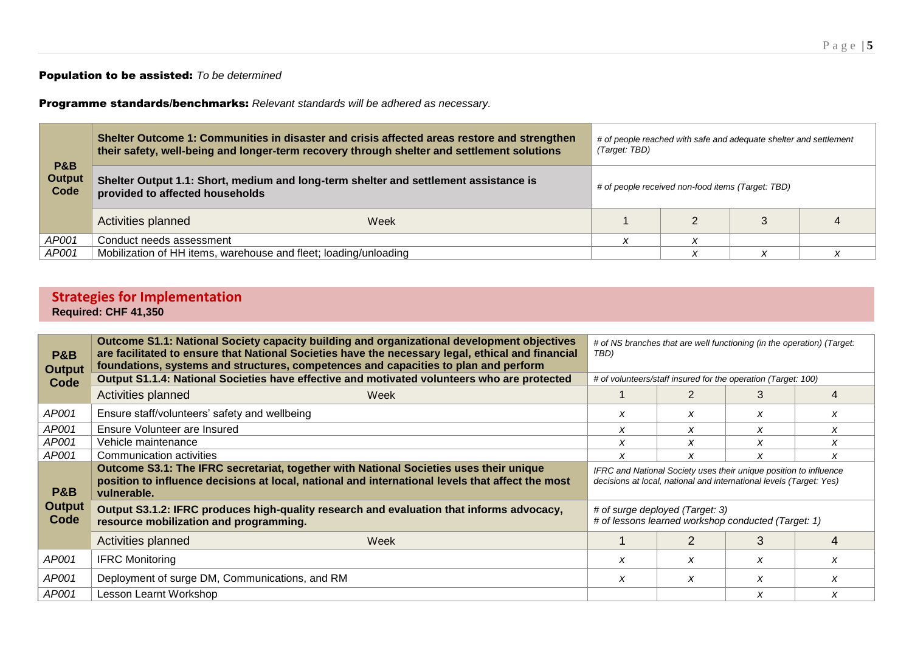#### Population to be assisted: *To be determined*

Programme standards/benchmarks: *Relevant standards will be adhered as necessary.*

|                                         | Shelter Outcome 1: Communities in disaster and crisis affected areas restore and strengthen<br>their safety, well-being and longer-term recovery through shelter and settlement solutions |  | # of people reached with safe and adequate shelter and settlement<br>(Target: TBD) |  |  |  |
|-----------------------------------------|-------------------------------------------------------------------------------------------------------------------------------------------------------------------------------------------|--|------------------------------------------------------------------------------------|--|--|--|
| <b>P&amp;B</b><br><b>Output</b><br>Code | Shelter Output 1.1: Short, medium and long-term shelter and settlement assistance is<br># of people received non-food items (Target: TBD)<br>provided to affected households              |  |                                                                                    |  |  |  |
|                                         | Activities planned<br>Week                                                                                                                                                                |  |                                                                                    |  |  |  |
| AP001                                   | Conduct needs assessment                                                                                                                                                                  |  |                                                                                    |  |  |  |
| AP001                                   | Mobilization of HH items, warehouse and fleet; loading/unloading                                                                                                                          |  | ↗                                                                                  |  |  |  |

### **Strategies for Implementation Required: CHF 41,350**

| <b>P&amp;B</b><br><b>Output</b> | Outcome S1.1: National Society capacity building and organizational development objectives<br>are facilitated to ensure that National Societies have the necessary legal, ethical and financial<br>foundations, systems and structures, competences and capacities to plan and perform | # of NS branches that are well functioning (in the operation) (Target:<br>TBD)                                                           |   |   |   |
|---------------------------------|----------------------------------------------------------------------------------------------------------------------------------------------------------------------------------------------------------------------------------------------------------------------------------------|------------------------------------------------------------------------------------------------------------------------------------------|---|---|---|
| Code                            | Output S1.1.4: National Societies have effective and motivated volunteers who are protected                                                                                                                                                                                            | # of volunteers/staff insured for the operation (Target: 100)                                                                            |   |   |   |
|                                 | Activities planned<br>Week                                                                                                                                                                                                                                                             |                                                                                                                                          | 2 | 3 |   |
| AP001                           | Ensure staff/volunteers' safety and wellbeing                                                                                                                                                                                                                                          | X                                                                                                                                        | X | X | x |
| AP001                           | Ensure Volunteer are Insured                                                                                                                                                                                                                                                           | x                                                                                                                                        | x | X | x |
| AP001                           | Vehicle maintenance                                                                                                                                                                                                                                                                    | x                                                                                                                                        | x | X | x |
| AP001                           | Communication activities                                                                                                                                                                                                                                                               | x                                                                                                                                        | X | X | x |
| P&B                             | Outcome S3.1: The IFRC secretariat, together with National Societies uses their unique<br>position to influence decisions at local, national and international levels that affect the most<br>vulnerable.                                                                              | IFRC and National Society uses their unique position to influence<br>decisions at local, national and international levels (Target: Yes) |   |   |   |
| <b>Output</b><br>Code           | Output S3.1.2: IFRC produces high-quality research and evaluation that informs advocacy,<br>resource mobilization and programming.                                                                                                                                                     | # of surge deployed (Target: 3)<br># of lessons learned workshop conducted (Target: 1)                                                   |   |   |   |
|                                 | Activities planned<br>Week                                                                                                                                                                                                                                                             |                                                                                                                                          |   | 3 |   |
| AP001                           | <b>IFRC Monitoring</b>                                                                                                                                                                                                                                                                 | x                                                                                                                                        | x | X | x |
| AP001                           | Deployment of surge DM, Communications, and RM                                                                                                                                                                                                                                         | x                                                                                                                                        | x | X | x |
| AP001                           | Lesson Learnt Workshop                                                                                                                                                                                                                                                                 |                                                                                                                                          |   | X |   |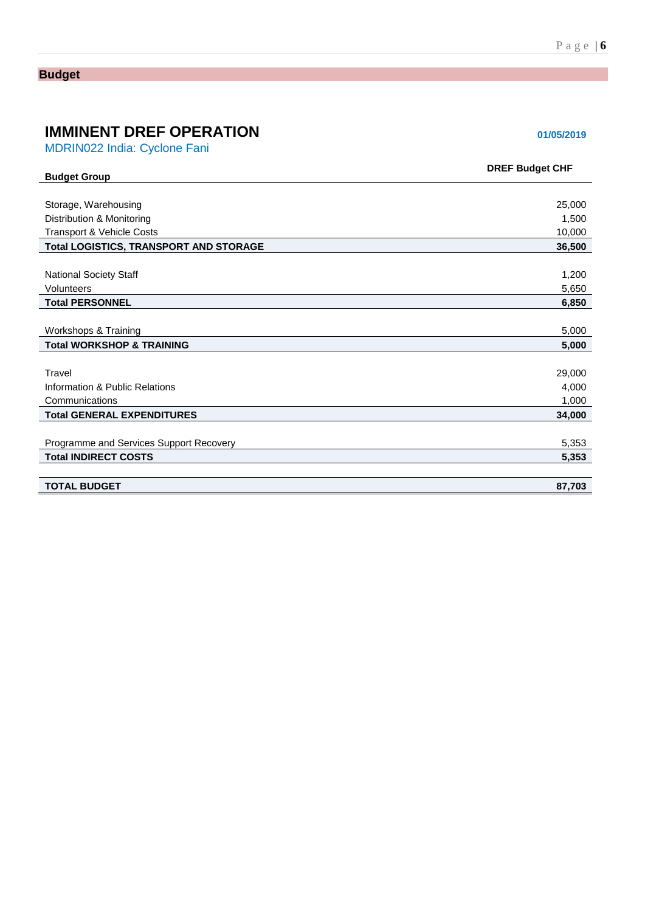## **Budget**

# **IMMINENT DREF OPERATION 101/05/2019**

MDRIN022 India: Cyclone Fani

| <b>Budget Group</b>                           | <b>DREF Budget CHF</b> |
|-----------------------------------------------|------------------------|
|                                               |                        |
| Storage, Warehousing                          | 25,000                 |
| Distribution & Monitoring                     | 1,500                  |
| Transport & Vehicle Costs                     | 10,000                 |
| <b>Total LOGISTICS, TRANSPORT AND STORAGE</b> | 36,500                 |
|                                               |                        |
| <b>National Society Staff</b>                 | 1,200                  |
| Volunteers                                    | 5,650                  |
| <b>Total PERSONNEL</b>                        | 6,850                  |
|                                               |                        |
| Workshops & Training                          | 5,000                  |
| <b>Total WORKSHOP &amp; TRAINING</b>          | 5,000                  |
|                                               |                        |
| Travel                                        | 29,000                 |
| Information & Public Relations                | 4,000                  |
| Communications                                | 1,000                  |
| <b>Total GENERAL EXPENDITURES</b>             | 34,000                 |
|                                               |                        |
| Programme and Services Support Recovery       | 5,353                  |
| <b>Total INDIRECT COSTS</b>                   | 5,353                  |
|                                               |                        |
| <b>TOTAL BUDGET</b>                           | 87,703                 |